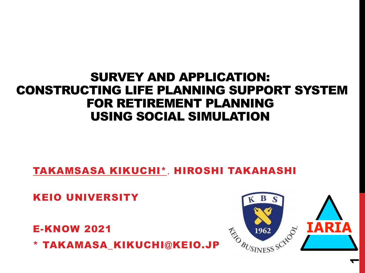### SURVEY AND APPLICATION: CONSTRUCTING LIFE PLANNING SUPPORT SYSTEM FOR RETIREMENT PLANNING USING SOCIAL SIMULATION

<u>TAKAMSASA KIKUCHI\*,</u> HIROSHI TAKAHASHI

KEIO UNIVERSITY

E-KNOW 2021

\* TAKAMASA\_KIKUCHI@KEIO.JP



**1**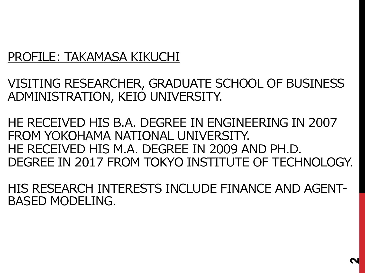### PROFILE: TAKAMASA KIKUCHI

VISITING RESEARCHER, GRADUATE SCHOOL OF BUSINESS ADMINISTRATION, KEIO UNIVERSITY.

HE RECEIVED HIS B.A. DEGREE IN ENGINEERING IN 2007 FROM YOKOHAMA NATIONAL UNIVERSITY. HE RECEIVED HIS M.A. DEGREE IN 2009 AND PH.D. DEGREE IN 2017 FROM TOKYO INSTITUTE OF TECHNOLOGY.

HIS RESEARCH INTERESTS INCLUDE FINANCE AND AGENT-BASED MODELING.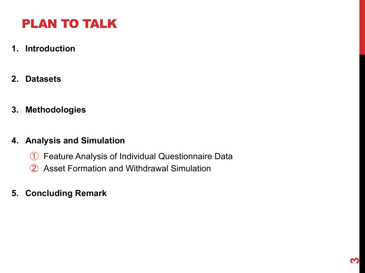# PLAN TO TALK

- **1. Introduction**
- **2. Datasets**
- **3. Methodologies**

#### **4. Analysis and Simulation**

- ① Feature Analysis of Individual Questionnaire Data
- ② Asset Formation and Withdrawal Simulation
- **5. Concluding Remark**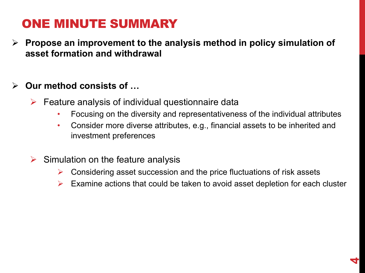### ONE MINUTE SUMMARY

Ø **Propose an improvement to the analysis method in policy simulation of asset formation and withdrawal**

### Ø **Our method consists of …**

- $\triangleright$  Feature analysis of individual questionnaire data
	- Focusing on the diversity and representativeness of the individual attributes
	- Consider more diverse attributes, e.g., financial assets to be inherited and investment preferences
- $\triangleright$  Simulation on the feature analysis
	- $\triangleright$  Considering asset succession and the price fluctuations of risk assets
	- $\triangleright$  Examine actions that could be taken to avoid asset depletion for each cluster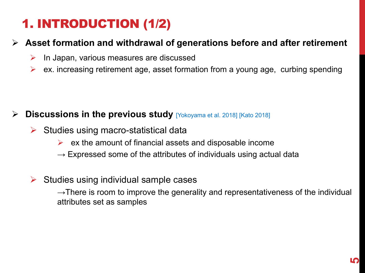# 1. INTRODUCTION (1/2)

### Ø **Asset formation and withdrawal of generations before and after retirement**

- $\triangleright$  In Japan, various measures are discussed
- $\triangleright$  ex. increasing retirement age, asset formation from a young age, curbing spending

#### **Discussions in the previous study** [Yokoyama et al. 2018] [Kato 2018]

- $\triangleright$  Studies using macro-statistical data
	- $\triangleright$  ex the amount of financial assets and disposable income
	- $\rightarrow$  Expressed some of the attributes of individuals using actual data
- $\triangleright$  Studies using individual sample cases

 $\rightarrow$ There is room to improve the generality and representativeness of the individual attributes set as samples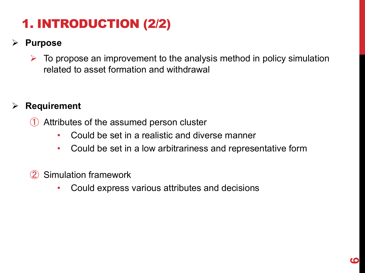# 1. INTRODUCTION (2/2)

### Ø **Purpose**

 $\triangleright$  To propose an improvement to the analysis method in policy simulation related to asset formation and withdrawal

### Ø **Requirement**

① Attributes of the assumed person cluster

- Could be set in a realistic and diverse manner
- Could be set in a low arbitrariness and representative form
- ② Simulation framework
	- Could express various attributes and decisions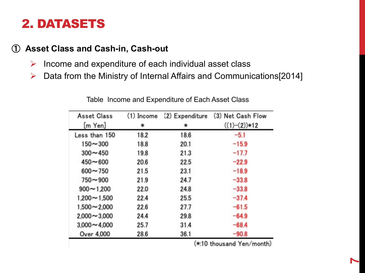### 2. DATASETS

#### ① **Asset Class and Cash-in, Cash-out**

- $\triangleright$  Income and expenditure of each individual asset class
- $\triangleright$  Data from the Ministry of Internal Affairs and Communications[2014]

| <b>Asset Class</b> | (1) Income | (2) Expenditure | (3) Net Cash Flow |
|--------------------|------------|-----------------|-------------------|
| $[m$ Yen]          | *          | *               | $((1)-(2))*12$    |
| Less than 150      | 18.2       | 18.6            | $-5.1$            |
| $150 - 300$        | 18.8       | 20.1            | $-15.9$           |
| $300 - 450$        | 19.8       | 21.3            | $-17.7$           |
| $450 - 600$        | 20.6       | 22.5            | $-22.9$           |
| $600 - 750$        | 21.5       | 23.1            | $-18.9$           |
| $750 - 900$        | 21.9       | 24.7            | $-33.8$           |
| $900 - 1.200$      | 22.0       | 24.8            | $-33.8$           |
| $1,200 - 1,500$    | 22.4       | 25.5            | $-37.4$           |
| $1,500 - 2,000$    | 22.6       | 27.7            | $-61.5$           |
| $2,000 - 3,000$    | 24.4       | 29.8            | $-64.9$           |
| $3,000 - 4,000$    | 25.7       | 31.4            | $-68.4$           |
| Over 4,000         | 28.6       | 36.1            | $-90.8$           |
|                    |            |                 |                   |

Table Income and Expenditure of Each Asset Class

(\*:10 thousand Yen/month)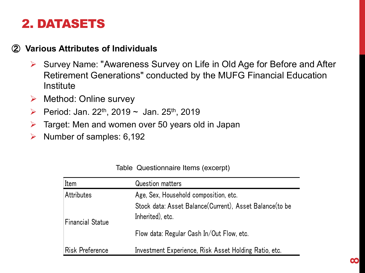### 2. DATASETS

#### ② **Various Attributes of Individuals**

- Ø Survey Name: "Awareness Survey on Life in Old Age for Before and After Retirement Generations" conducted by the MUFG Financial Education **Institute**
- $\triangleright$  Method: Online survey
- **► Period: Jan. 22<sup>th</sup>, 2019 ~ Jan. 25<sup>th</sup>, 2019**
- $\triangleright$  Target: Men and women over 50 years old in Japan
- $\triangleright$  Number of samples: 6,192

| Table Questionnaire Items (excerpt) |  |  |  |  |
|-------------------------------------|--|--|--|--|
|-------------------------------------|--|--|--|--|

| Item                    | <b>Question matters</b>                                                     |  |  |  |
|-------------------------|-----------------------------------------------------------------------------|--|--|--|
| Attributes              | Age, Sex, Household composition, etc.                                       |  |  |  |
| <b>Financial Statue</b> | Stock data: Asset Balance(Current), Asset Balance(to be<br>Inherited), etc. |  |  |  |
|                         | Flow data: Regular Cash In/Out Flow, etc.                                   |  |  |  |
| <b>Risk Preference</b>  | Investment Experience, Risk Asset Holding Ratio, etc.                       |  |  |  |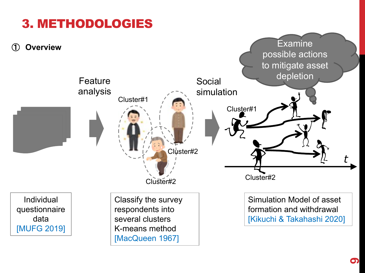

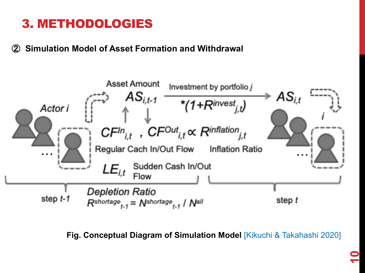## 3. METHODOLOGIES

② **Simulation Model of Asset Formation and Withdrawal**



**Fig. Conceptual Diagram of Simulation Model [Kikuchi & Takahashi 2020]**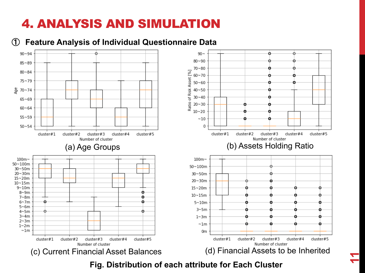#### ① **Feature Analysis of Individual Questionnaire Data**





**11**

**Fig. Distribution of each attribute for Each Cluster**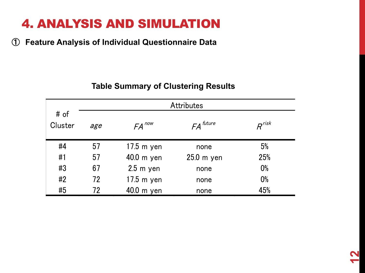① **Feature Analysis of Individual Questionnaire Data**

|                 |     |                     | <b>Attributes</b> |                          |
|-----------------|-----|---------------------|-------------------|--------------------------|
| # of<br>Cluster | age | $FA$ <sup>now</sup> | $FA$ future       | $R^{\prime\prime\prime}$ |
| #4              | 57  | $17.5$ m yen        | none              | 5%                       |
| #1              | 57  | $40.0$ m yen        | $25.0m$ yen       | 25%                      |
| #3              | 67  | $2.5$ m yen         | none              | $0\%$                    |
| #2              | 72  | $17.5$ m yen        | none              | $0\%$                    |
| #5              | 72  | 40.0 m yen          | none              | 45%                      |

#### **Table Summary of Clustering Results**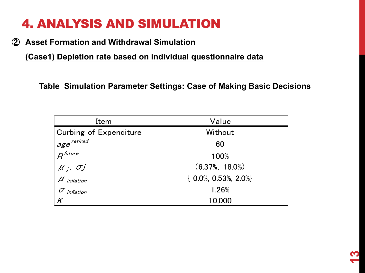② **Asset Formation and Withdrawal Simulation**

**(Case1) Depletion rate based on individual questionnaire data**

**Table Simulation Parameter Settings: Case of Making Basic Decisions**

| Item                                                                           | Value                       |  |
|--------------------------------------------------------------------------------|-----------------------------|--|
| Curbing of Expenditure                                                         | Without                     |  |
| age <sup>retired</sup><br>R <sup>future</sup>                                  | 60                          |  |
|                                                                                | 100%                        |  |
|                                                                                | $(6.37\%, 18.0\%)$          |  |
| $\begin{aligned} \mu_{j}, \ \sigma_{j} \ \mu_{\text{inflation}} \end{aligned}$ | $\{0.0\%, 0.53\%, 2.0\% \}$ |  |
| $\sigma$ inflation                                                             | 1.26%                       |  |
|                                                                                | 10,000                      |  |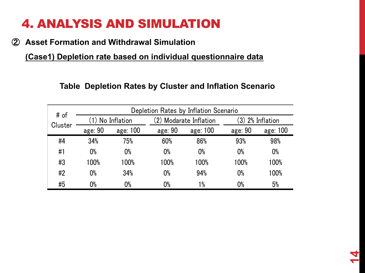#### ② **Asset Formation and Withdrawal Simulation**

**(Case1) Depletion rate based on individual questionnaire data**

#### **Table Depletion Rates by Cluster and Inflation Scenario**

| # of    | Depletion Rates by Inflation Scenario |                  |         |                        |         |                       |
|---------|---------------------------------------|------------------|---------|------------------------|---------|-----------------------|
|         |                                       | (1) No Inflation |         | (2) Modarate Inflation |         | $(3)$ $2\%$ Inflation |
| Cluster | age: 90                               | age: 100         | age: 90 | age: 100               | age: 90 | age: 100              |
| #4      | 34%                                   | 75%              | 60%     | 86%                    | 93%     | 98%                   |
| #1      | $0\%$                                 | $0\%$            | $0\%$   | $0\%$                  | $0\%$   | $0\%$                 |
| #3      | 100%                                  | 100%             | 100%    | 100%                   | 100%    | 100%                  |
| #2      | $0\%$                                 | 34%              | $0\%$   | 94%                    | $0\%$   | 100%                  |
| #5      | 0%                                    | $0\%$            | 0%      | $1\%$                  | $0\%$   | 5%                    |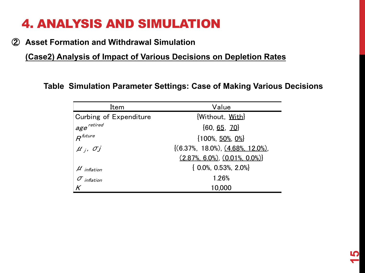#### ② **Asset Formation and Withdrawal Simulation**

**(Case2) Analysis of Impact of Various Decisions on Depletion Rates**

**Table Simulation Parameter Settings: Case of Making Various Decisions**

| Item                           | Value                                   |
|--------------------------------|-----------------------------------------|
| Curbing of Expenditure         | [Without, With]                         |
| $^{\shortmid}$ age $^{\prime}$ | ${60, 65, 70}$                          |
| $R$ <sup>future</sup>          | $\{100\%, 50\%, 0\% \}$                 |
| $\mu_i$ , $\sigma_j$           | $(6.37\%, 18.0\%)$ , $(4.68\%, 12.0\%)$ |
|                                | $(2.87\%$ , 6.0%), $(0.01\%$ , 0.0%)    |
| $\mu$ inflation                | $\{0.0\%$ , 0.53%, 2.0%}                |
| $\sigma$ inflation             | 1.26%                                   |
|                                | 10,000                                  |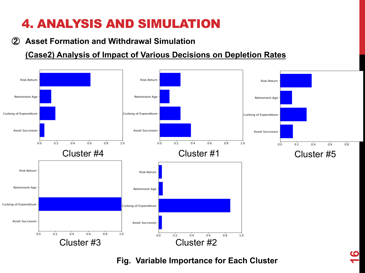#### ② **Asset Formation and Withdrawal Simulation**

#### **(Case2) Analysis of Impact of Various Decisions on Depletion Rates**



#### **Fig. Variable Importance for Each Cluster**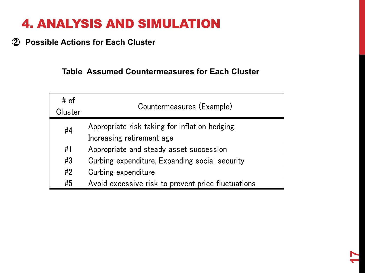#### ② **Possible Actions for Each Cluster**

#### **Table Assumed Countermeasures for Each Cluster**

| # of<br>Cluster | Countermeasures (Example)                                                   |
|-----------------|-----------------------------------------------------------------------------|
| #4              | Appropriate risk taking for inflation hedging,<br>Increasing retirement age |
| #1              | Appropriate and steady asset succession                                     |
| #3              | Curbing expenditure, Expanding social security                              |
| #2              | Curbing expenditure                                                         |
| #5              | Avoid excessive risk to prevent price fluctuations                          |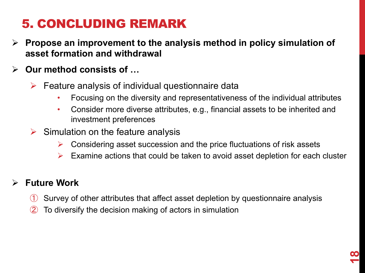# 5. CONCLUDING REMARK

- Ø **Propose an improvement to the analysis method in policy simulation of asset formation and withdrawal**
- Ø **Our method consists of …** 
	- $\triangleright$  Feature analysis of individual questionnaire data
		- Focusing on the diversity and representativeness of the individual attributes
		- Consider more diverse attributes, e.g., financial assets to be inherited and investment preferences
	- $\triangleright$  Simulation on the feature analysis
		- $\triangleright$  Considering asset succession and the price fluctuations of risk assets
		- $\triangleright$  Examine actions that could be taken to avoid asset depletion for each cluster

### Ø **Future Work**

- ① Survey of other attributes that affect asset depletion by questionnaire analysis
- To diversify the decision making of actors in simulation